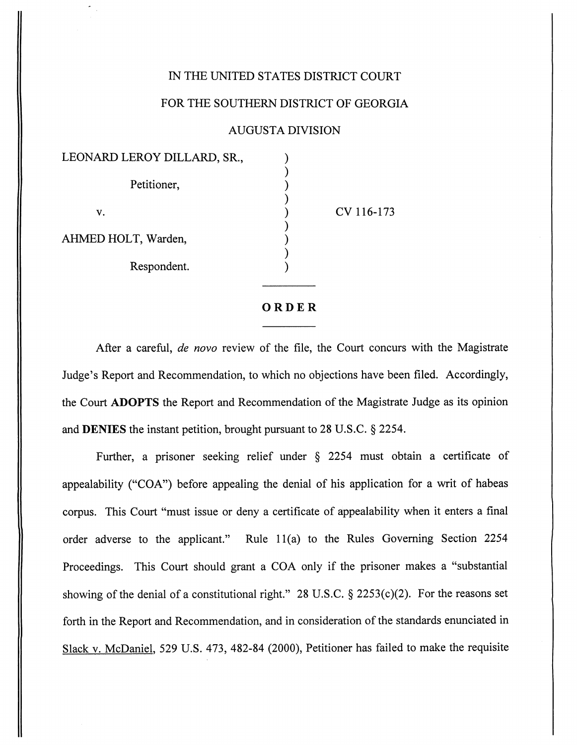## IN THE UNITED STATES DISTRICT COURT

[Dillard v. Holt](https://dockets.justia.com/docket/georgia/gasdce/1:2016cv00173/70401/) [Doc. 26](https://docs.justia.com/cases/federal/district-courts/georgia/gasdce/1:2016cv00173/70401/26/)

## FOR THE SOUTHERN DISTRICT OF GEORGIA

## AUGUSTA DIVISION

| LEONARD LEROY DILLARD, SR., |  |
|-----------------------------|--|
| Petitioner,                 |  |
| v.                          |  |
| AHMED HOLT, Warden,         |  |
| Respondent.                 |  |

 $7116 - 173$ 

[Dockets.Justia.com](https://dockets.justia.com/)

## *ORDER*

After a careful, **de novo** review of the file, the Court concurs with the Magistrate Judge's Report and Recommendation, to which no objections have been filed. Accordingly, the Court *ADOPTS* the Report and Recommendation of the Magistrate Judge as its opinion and *DENIES* the instant petition, brought pursuant to 28 U.S.C. § 2254.

Further, a prisoner seeking relief under § 2254 must obtain a certificate of appealability ("COA") before appealing the denial of his application for a writ of habeas corpus. This Court "must issue or deny a certificate of appealability when it enters a final order adverse to the applicant." Rule 11(a) to the Rules Governing Section 2254 Proceedings. This Court should grant a COA only if the prisoner makes a "substantial showing of the denial of a constitutional right." 28 U.S.C.  $\S$  2253(c)(2). For the reasons set forth in the Report and Recommendation, and in consideration of the standards enunciated in Slack v. McDaniel, 529 U.S. 473, 482-84 (2000), Petitioner has failed to make the requisite